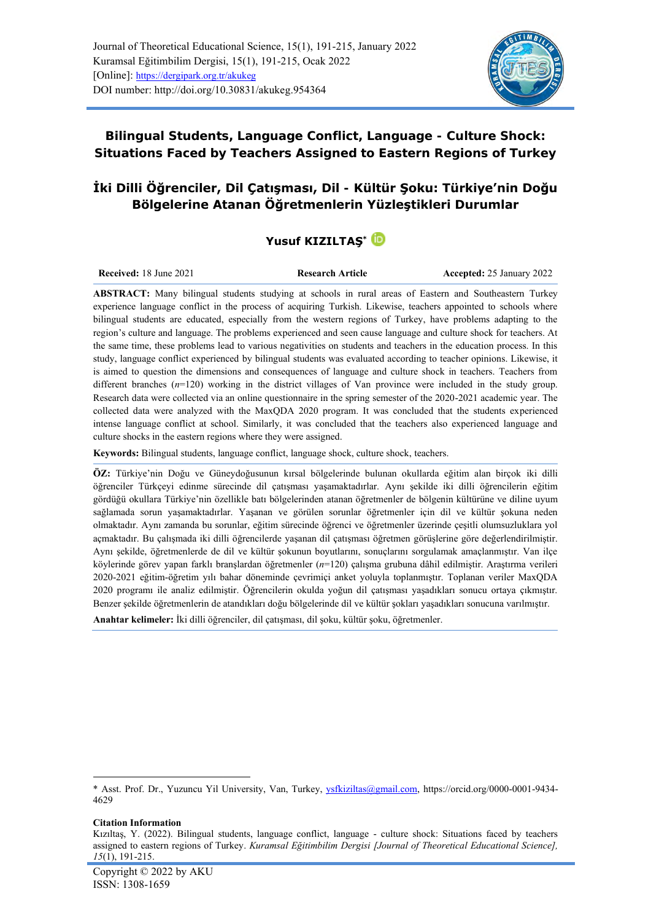

**Bilingual Students, Language Conflict, Language - Culture Shock: Situations Faced by Teachers Assigned to Eastern Regions of Turkey**

# **İki Dilli Öğrenciler, Dil Çatışması, Dil - Kültür Şoku: Türkiye'nin Doğu Bölgelerine Atanan Öğretmenlerin Yüzleştikleri Durumlar**

# **Yusuf KIZILTAŞ\***

**Received:** 18 June 2021 **Research Article Accepted: 25 January 2022** 

**ABSTRACT:** Many bilingual students studying at schools in rural areas of Eastern and Southeastern Turkey experience language conflict in the process of acquiring Turkish. Likewise, teachers appointed to schools where bilingual students are educated, especially from the western regions of Turkey, have problems adapting to the region's culture and language. The problems experienced and seen cause language and culture shock for teachers. At the same time, these problems lead to various negativities on students and teachers in the education process. In this study, language conflict experienced by bilingual students was evaluated according to teacher opinions. Likewise, it is aimed to question the dimensions and consequences of language and culture shock in teachers. Teachers from different branches (*n*=120) working in the district villages of Van province were included in the study group. Research data were collected via an online questionnaire in the spring semester of the 2020-2021 academic year. The collected data were analyzed with the MaxQDA 2020 program. It was concluded that the students experienced intense language conflict at school. Similarly, it was concluded that the teachers also experienced language and culture shocks in the eastern regions where they were assigned.

**Keywords:** Bilingual students, language conflict, language shock, culture shock, teachers.

**ÖZ:** Türkiye'nin Doğu ve Güneydoğusunun kırsal bölgelerinde bulunan okullarda eğitim alan birçok iki dilli öğrenciler Türkçeyi edinme sürecinde dil çatışması yaşamaktadırlar. Aynı şekilde iki dilli öğrencilerin eğitim gördüğü okullara Türkiye'nin özellikle batı bölgelerinden atanan öğretmenler de bölgenin kültürüne ve diline uyum sağlamada sorun yaşamaktadırlar. Yaşanan ve görülen sorunlar öğretmenler için dil ve kültür şokuna neden olmaktadır. Aynı zamanda bu sorunlar, eğitim sürecinde öğrenci ve öğretmenler üzerinde çeşitli olumsuzluklara yol açmaktadır. Bu çalışmada iki dilli öğrencilerde yaşanan dil çatışması öğretmen görüşlerine göre değerlendirilmiştir. Aynı şekilde, öğretmenlerde de dil ve kültür şokunun boyutlarını, sonuçlarını sorgulamak amaçlanmıştır. Van ilçe köylerinde görev yapan farklı branşlardan öğretmenler (*n*=120) çalışma grubuna dâhil edilmiştir. Araştırma verileri 2020-2021 eğitim-öğretim yılı bahar döneminde çevrimiçi anket yoluyla toplanmıştır. Toplanan veriler MaxQDA 2020 programı ile analiz edilmiştir. Öğrencilerin okulda yoğun dil çatışması yaşadıkları sonucu ortaya çıkmıştır. Benzer şekilde öğretmenlerin de atandıkları doğu bölgelerinde dil ve kültür şokları yaşadıkları sonucuna varılmıştır.

**Anahtar kelimeler:** İki dilli öğrenciler, dil çatışması, dil şoku, kültür şoku, öğretmenler.

#### **Citation Information**

<sup>\*</sup> Asst. Prof. Dr., Yuzuncu Yil University, Van, Turkey, [ysfkiziltas@gmail.com,](mailto:ysfkiziltas@gmail.com) [https://orcid.org/0000-0001-9434-](https://orcid.org/0000-0001-9434-4629) [4629](https://orcid.org/0000-0001-9434-4629)

Kızıltaş, Y. (2022). Bilingual students, language conflict, language - culture shock: Situations faced by teachers assigned to eastern regions of Turkey. *Kuramsal Eğitimbilim Dergisi [Journal of Theoretical Educational Science], 15*(1), 191-215.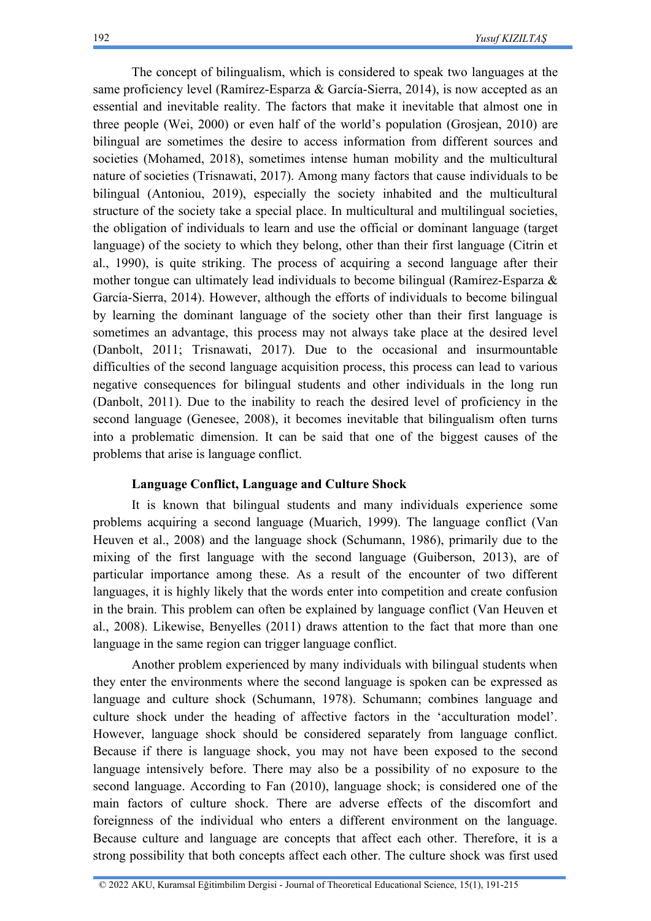The concept of bilingualism, which is considered to speak two languages at the same proficiency level (Ramírez-Esparza & García-Sierra, 2014), is now accepted as an essential and inevitable reality. The factors that make it inevitable that almost one in three people (Wei, 2000) or even half of the world's population (Grosjean, 2010) are bilingual are sometimes the desire to access information from different sources and societies (Mohamed, 2018), sometimes intense human mobility and the multicultural nature of societies (Trisnawati, 2017). Among many factors that cause individuals to be bilingual (Antoniou, 2019), especially the society inhabited and the multicultural structure of the society take a special place. In multicultural and multilingual societies, the obligation of individuals to learn and use the official or dominant language (target language) of the society to which they belong, other than their first language (Citrin et al., 1990), is quite striking. The process of acquiring a second language after their mother tongue can ultimately lead individuals to become bilingual (Ramírez-Esparza & García-Sierra, 2014). However, although the efforts of individuals to become bilingual by learning the dominant language of the society other than their first language is sometimes an advantage, this process may not always take place at the desired level (Danbolt, 2011; Trisnawati, 2017). Due to the occasional and insurmountable difficulties of the second language acquisition process, this process can lead to various negative consequences for bilingual students and other individuals in the long run (Danbolt, 2011). Due to the inability to reach the desired level of proficiency in the second language (Genesee, 2008), it becomes inevitable that bilingualism often turns into a problematic dimension. It can be said that one of the biggest causes of the problems that arise is language conflict.

# **Language Conflict, Language and Culture Shock**

It is known that bilingual students and many individuals experience some problems acquiring a second language (Muarich, 1999). The language conflict (Van Heuven et al., 2008) and the language shock (Schumann, 1986), primarily due to the mixing of the first language with the second language (Guiberson, 2013), are of particular importance among these. As a result of the encounter of two different languages, it is highly likely that the words enter into competition and create confusion in the brain. This problem can often be explained by language conflict (Van Heuven et al., 2008). Likewise, Benyelles (2011) draws attention to the fact that more than one language in the same region can trigger language conflict.

Another problem experienced by many individuals with bilingual students when they enter the environments where the second language is spoken can be expressed as language and culture shock (Schumann, 1978). Schumann; combines language and culture shock under the heading of affective factors in the 'acculturation model'. However, language shock should be considered separately from language conflict. Because if there is language shock, you may not have been exposed to the second language intensively before. There may also be a possibility of no exposure to the second language. According to Fan (2010), language shock; is considered one of the main factors of culture shock. There are adverse effects of the discomfort and foreignness of the individual who enters a different environment on the language. Because culture and language are concepts that affect each other. Therefore, it is a strong possibility that both concepts affect each other. The culture shock was first used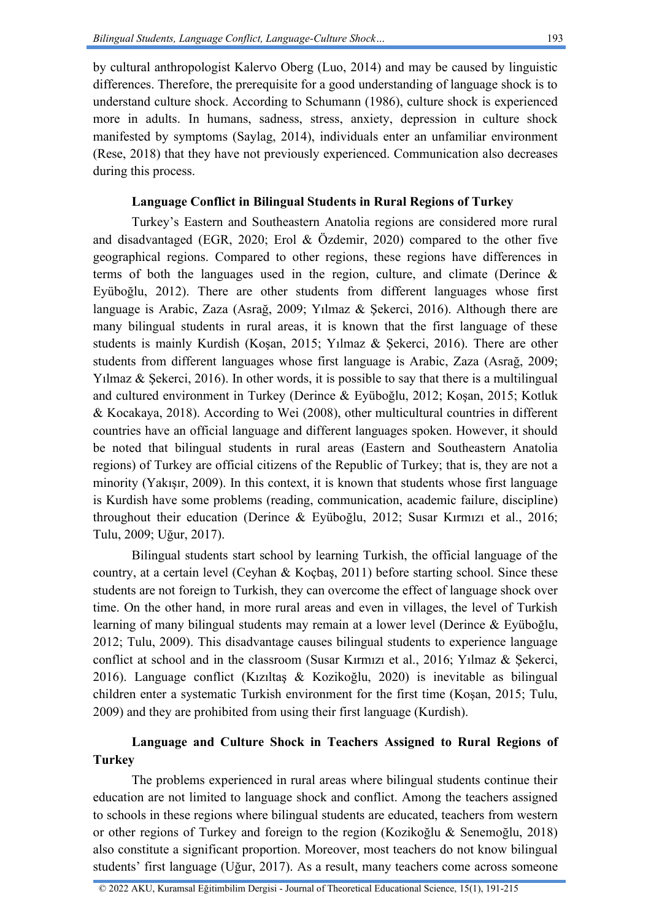193

by cultural anthropologist Kalervo Oberg (Luo, 2014) and may be caused by linguistic differences. Therefore, the prerequisite for a good understanding of language shock is to understand culture shock. According to Schumann (1986), culture shock is experienced more in adults. In humans, sadness, stress, anxiety, depression in culture shock manifested by symptoms (Saylag, 2014), individuals enter an unfamiliar environment (Rese, 2018) that they have not previously experienced. Communication also decreases during this process.

# **Language Conflict in Bilingual Students in Rural Regions of Turkey**

Turkey's Eastern and Southeastern Anatolia regions are considered more rural and disadvantaged (EGR, 2020; Erol & Özdemir, 2020) compared to the other five geographical regions. Compared to other regions, these regions have differences in terms of both the languages used in the region, culture, and climate (Derince  $\&$ Eyüboğlu, 2012). There are other students from different languages whose first language is Arabic, Zaza (Asrağ, 2009; Yılmaz & Şekerci, 2016). Although there are many bilingual students in rural areas, it is known that the first language of these students is mainly Kurdish (Koşan, 2015; Yılmaz & Şekerci, 2016). There are other students from different languages whose first language is Arabic, Zaza (Asrağ, 2009; Yilmaz & Sekerci, 2016). In other words, it is possible to say that there is a multilingual and cultured environment in Turkey (Derince & Eyüboğlu, 2012; Koşan, 2015; Kotluk & Kocakaya, 2018). According to Wei (2008), other multicultural countries in different countries have an official language and different languages spoken. However, it should be noted that bilingual students in rural areas (Eastern and Southeastern Anatolia regions) of Turkey are official citizens of the Republic of Turkey; that is, they are not a minority (Yakışır, 2009). In this context, it is known that students whose first language is Kurdish have some problems (reading, communication, academic failure, discipline) throughout their education (Derince & Eyüboğlu, 2012; Susar Kırmızı et al., 2016; Tulu, 2009; Uğur, 2017).

Bilingual students start school by learning Turkish, the official language of the country, at a certain level (Ceyhan & Koçbaş, 2011) before starting school. Since these students are not foreign to Turkish, they can overcome the effect of language shock over time. On the other hand, in more rural areas and even in villages, the level of Turkish learning of many bilingual students may remain at a lower level (Derince & Eyüboğlu, 2012; Tulu, 2009). This disadvantage causes bilingual students to experience language conflict at school and in the classroom (Susar Kırmızı et al., 2016; Yılmaz & Şekerci, 2016). Language conflict (Kızıltaş & Kozikoğlu, 2020) is inevitable as bilingual children enter a systematic Turkish environment for the first time (Koşan, 2015; Tulu, 2009) and they are prohibited from using their first language (Kurdish).

# **Language and Culture Shock in Teachers Assigned to Rural Regions of Turkey**

The problems experienced in rural areas where bilingual students continue their education are not limited to language shock and conflict. Among the teachers assigned to schools in these regions where bilingual students are educated, teachers from western or other regions of Turkey and foreign to the region (Kozikoğlu & Senemoğlu, 2018) also constitute a significant proportion. Moreover, most teachers do not know bilingual students' first language (Uğur, 2017). As a result, many teachers come across someone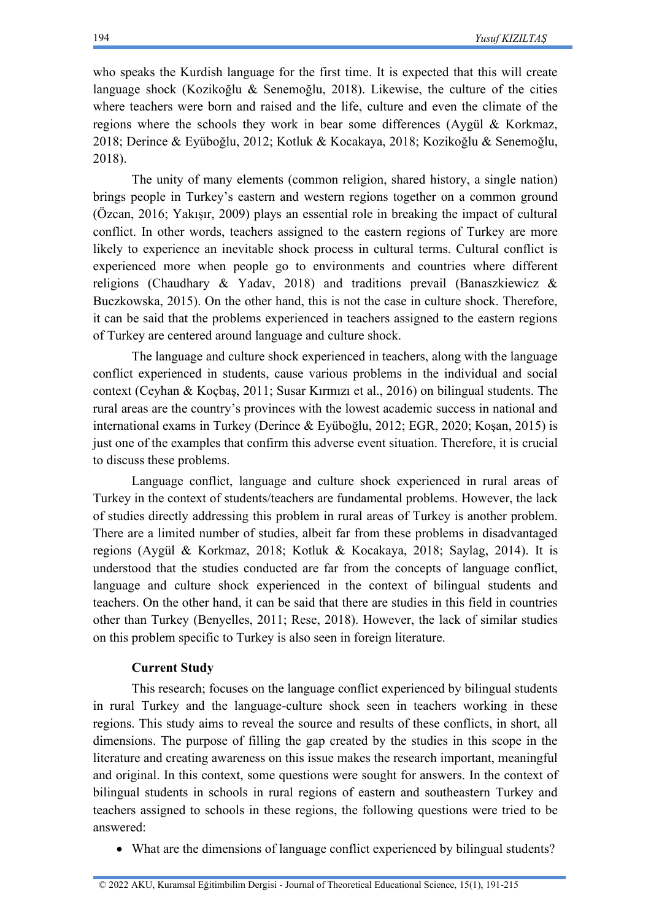who speaks the Kurdish language for the first time. It is expected that this will create language shock (Kozikoğlu & Senemoğlu, 2018). Likewise, the culture of the cities where teachers were born and raised and the life, culture and even the climate of the regions where the schools they work in bear some differences (Aygül & Korkmaz, 2018; Derince & Eyüboğlu, 2012; Kotluk & Kocakaya, 2018; Kozikoğlu & Senemoğlu, 2018).

The unity of many elements (common religion, shared history, a single nation) brings people in Turkey's eastern and western regions together on a common ground (Özcan, 2016; Yakışır, 2009) plays an essential role in breaking the impact of cultural conflict. In other words, teachers assigned to the eastern regions of Turkey are more likely to experience an inevitable shock process in cultural terms. Cultural conflict is experienced more when people go to environments and countries where different religions (Chaudhary & Yadav, 2018) and traditions prevail (Banaszkiewicz & Buczkowska, 2015). On the other hand, this is not the case in culture shock. Therefore, it can be said that the problems experienced in teachers assigned to the eastern regions of Turkey are centered around language and culture shock.

The language and culture shock experienced in teachers, along with the language conflict experienced in students, cause various problems in the individual and social context (Ceyhan & Koçbaş, 2011; Susar Kırmızı et al., 2016) on bilingual students. The rural areas are the country's provinces with the lowest academic success in national and international exams in Turkey (Derince & Eyüboğlu, 2012; EGR, 2020; Koşan, 2015) is just one of the examples that confirm this adverse event situation. Therefore, it is crucial to discuss these problems.

Language conflict, language and culture shock experienced in rural areas of Turkey in the context of students/teachers are fundamental problems. However, the lack of studies directly addressing this problem in rural areas of Turkey is another problem. There are a limited number of studies, albeit far from these problems in disadvantaged regions (Aygül & Korkmaz, 2018; Kotluk & Kocakaya, 2018; Saylag, 2014). It is understood that the studies conducted are far from the concepts of language conflict, language and culture shock experienced in the context of bilingual students and teachers. On the other hand, it can be said that there are studies in this field in countries other than Turkey (Benyelles, 2011; Rese, 2018). However, the lack of similar studies on this problem specific to Turkey is also seen in foreign literature.

# **Current Study**

This research; focuses on the language conflict experienced by bilingual students in rural Turkey and the language-culture shock seen in teachers working in these regions. This study aims to reveal the source and results of these conflicts, in short, all dimensions. The purpose of filling the gap created by the studies in this scope in the literature and creating awareness on this issue makes the research important, meaningful and original. In this context, some questions were sought for answers. In the context of bilingual students in schools in rural regions of eastern and southeastern Turkey and teachers assigned to schools in these regions, the following questions were tried to be answered:

• What are the dimensions of language conflict experienced by bilingual students?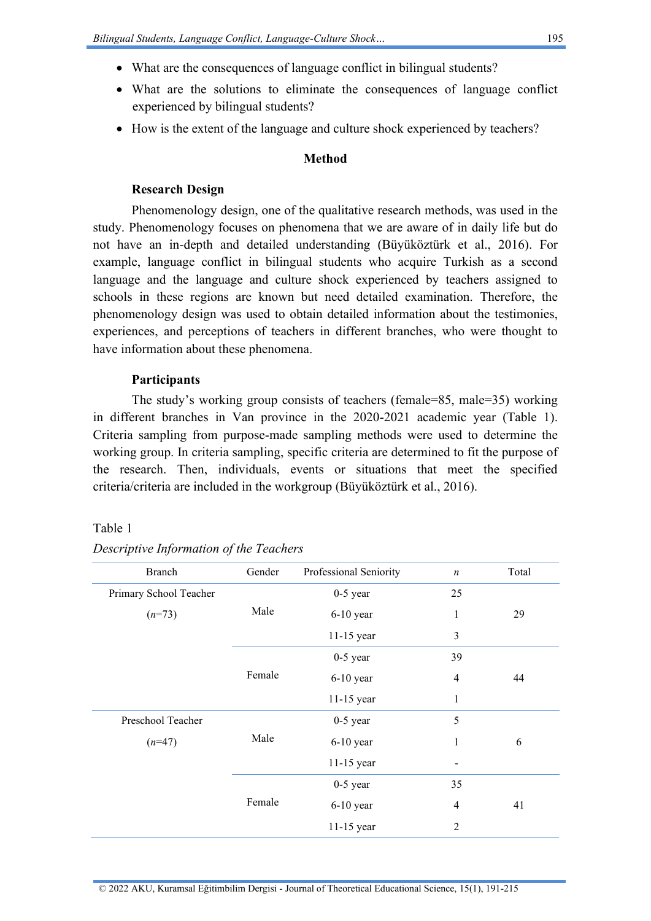- What are the consequences of language conflict in bilingual students?
- What are the solutions to eliminate the consequences of language conflict experienced by bilingual students?
- How is the extent of the language and culture shock experienced by teachers?

# **Method**

# **Research Design**

Phenomenology design, one of the qualitative research methods, was used in the study. Phenomenology focuses on phenomena that we are aware of in daily life but do not have an in-depth and detailed understanding (Büyüköztürk et al., 2016). For example, language conflict in bilingual students who acquire Turkish as a second language and the language and culture shock experienced by teachers assigned to schools in these regions are known but need detailed examination. Therefore, the phenomenology design was used to obtain detailed information about the testimonies, experiences, and perceptions of teachers in different branches, who were thought to have information about these phenomena.

# **Participants**

The study's working group consists of teachers (female=85, male=35) working in different branches in Van province in the 2020-2021 academic year (Table 1). Criteria sampling from purpose-made sampling methods were used to determine the working group. In criteria sampling, specific criteria are determined to fit the purpose of the research. Then, individuals, events or situations that meet the specified criteria/criteria are included in the workgroup (Büyüköztürk et al., 2016).

#### Table 1

| <b>Branch</b>          | Gender | Professional Seniority | $\boldsymbol{n}$ | Total |
|------------------------|--------|------------------------|------------------|-------|
| Primary School Teacher |        | $0-5$ year             | 25               |       |
| $(n=73)$               | Male   | $6-10$ year            | $\mathbf{1}$     | 29    |
|                        |        | 11-15 year             | 3                |       |
|                        |        | $0-5$ year             | 39               |       |
|                        | Female | $6-10$ year            | $\overline{4}$   | 44    |
|                        |        | $11-15$ year           | 1                |       |
| Preschool Teacher      | Male   | $0-5$ year             | 5                |       |
| $(n=47)$               |        | $6-10$ year            | 1                | 6     |
|                        |        | 11-15 year             |                  |       |
|                        | Female | $0-5$ year             | 35               |       |
|                        |        | $6-10$ year            | $\overline{4}$   | 41    |
|                        |        | 11-15 year             | $\overline{2}$   |       |

*Descriptive Information of the Teachers*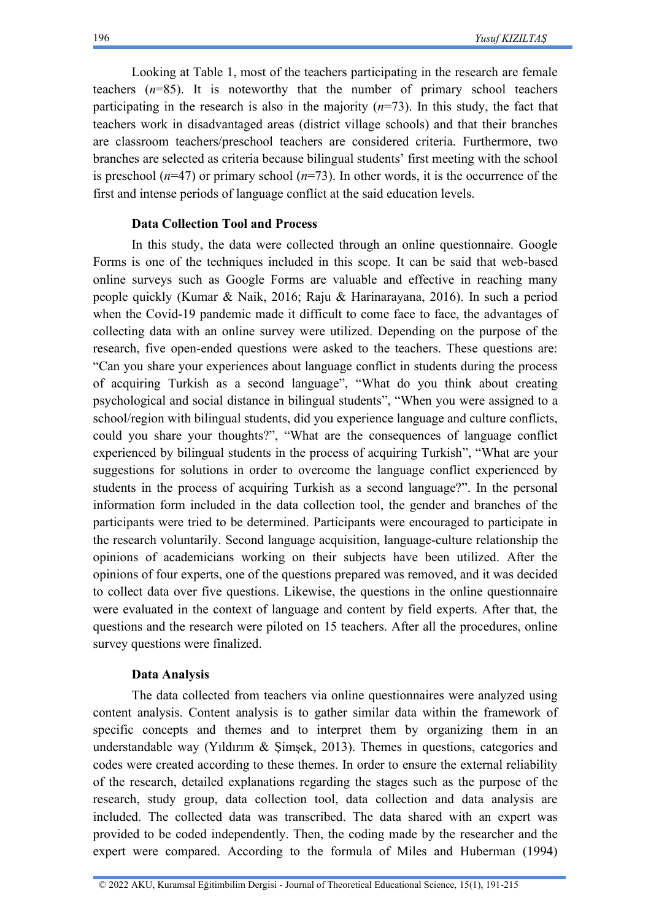Looking at Table 1, most of the teachers participating in the research are female teachers (*n*=85). It is noteworthy that the number of primary school teachers participating in the research is also in the majority (*n*=73). In this study, the fact that teachers work in disadvantaged areas (district village schools) and that their branches are classroom teachers/preschool teachers are considered criteria. Furthermore, two branches are selected as criteria because bilingual students' first meeting with the school is preschool  $(n=47)$  or primary school  $(n=73)$ . In other words, it is the occurrence of the first and intense periods of language conflict at the said education levels.

# **Data Collection Tool and Process**

In this study, the data were collected through an online questionnaire. Google Forms is one of the techniques included in this scope. It can be said that web-based online surveys such as Google Forms are valuable and effective in reaching many people quickly (Kumar & Naik, 2016; Raju & Harinarayana, 2016). In such a period when the Covid-19 pandemic made it difficult to come face to face, the advantages of collecting data with an online survey were utilized. Depending on the purpose of the research, five open-ended questions were asked to the teachers. These questions are: "Can you share your experiences about language conflict in students during the process of acquiring Turkish as a second language", "What do you think about creating psychological and social distance in bilingual students", "When you were assigned to a school/region with bilingual students, did you experience language and culture conflicts, could you share your thoughts?", "What are the consequences of language conflict experienced by bilingual students in the process of acquiring Turkish", "What are your suggestions for solutions in order to overcome the language conflict experienced by students in the process of acquiring Turkish as a second language?". In the personal information form included in the data collection tool, the gender and branches of the participants were tried to be determined. Participants were encouraged to participate in the research voluntarily. Second language acquisition, language-culture relationship the opinions of academicians working on their subjects have been utilized. After the opinions of four experts, one of the questions prepared was removed, and it was decided to collect data over five questions. Likewise, the questions in the online questionnaire were evaluated in the context of language and content by field experts. After that, the questions and the research were piloted on 15 teachers. After all the procedures, online survey questions were finalized.

# **Data Analysis**

The data collected from teachers via online questionnaires were analyzed using content analysis. Content analysis is to gather similar data within the framework of specific concepts and themes and to interpret them by organizing them in an understandable way (Yıldırım & Şimşek, 2013). Themes in questions, categories and codes were created according to these themes. In order to ensure the external reliability of the research, detailed explanations regarding the stages such as the purpose of the research, study group, data collection tool, data collection and data analysis are included. The collected data was transcribed. The data shared with an expert was provided to be coded independently. Then, the coding made by the researcher and the expert were compared. According to the formula of Miles and Huberman (1994)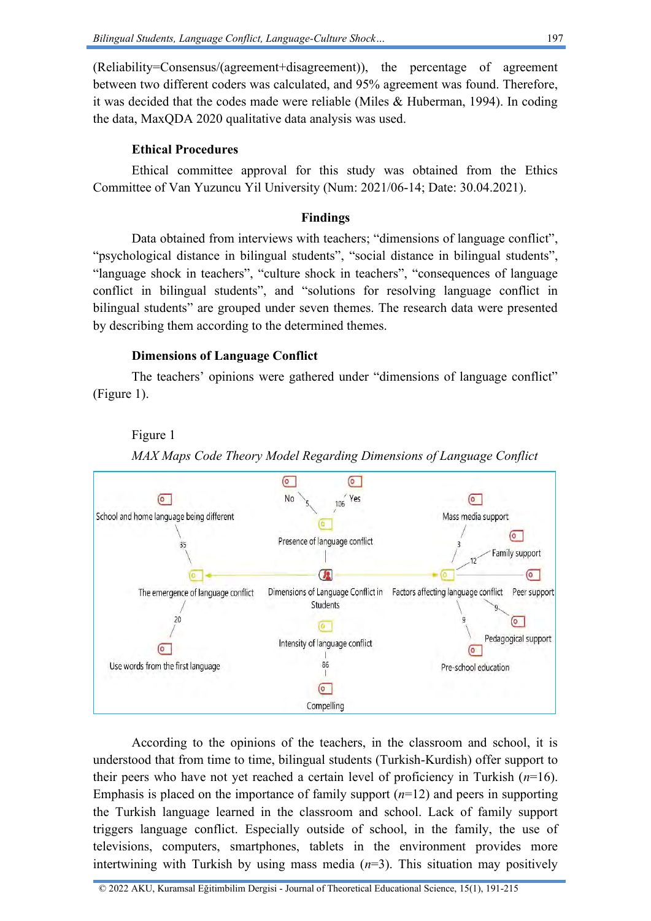(Reliability=Consensus/(agreement+disagreement)), the percentage of agreement between two different coders was calculated, and 95% agreement was found. Therefore, it was decided that the codes made were reliable (Miles & Huberman, 1994). In coding the data, MaxQDA 2020 qualitative data analysis was used.

# **Ethical Procedures**

Ethical committee approval for this study was obtained from the Ethics Committee of Van Yuzuncu Yil University (Num: 2021/06-14; Date: 30.04.2021).

# **Findings**

Data obtained from interviews with teachers; "dimensions of language conflict", "psychological distance in bilingual students", "social distance in bilingual students", "language shock in teachers", "culture shock in teachers", "consequences of language conflict in bilingual students", and "solutions for resolving language conflict in bilingual students" are grouped under seven themes. The research data were presented by describing them according to the determined themes.

# **Dimensions of Language Conflict**

The teachers' opinions were gathered under "dimensions of language conflict" (Figure 1).

# Figure 1



*MAX Maps Code Theory Model Regarding Dimensions of Language Conflict*

According to the opinions of the teachers, in the classroom and school, it is understood that from time to time, bilingual students (Turkish-Kurdish) offer support to their peers who have not yet reached a certain level of proficiency in Turkish (*n*=16). Emphasis is placed on the importance of family support (*n*=12) and peers in supporting the Turkish language learned in the classroom and school. Lack of family support triggers language conflict. Especially outside of school, in the family, the use of televisions, computers, smartphones, tablets in the environment provides more intertwining with Turkish by using mass media  $(n=3)$ . This situation may positively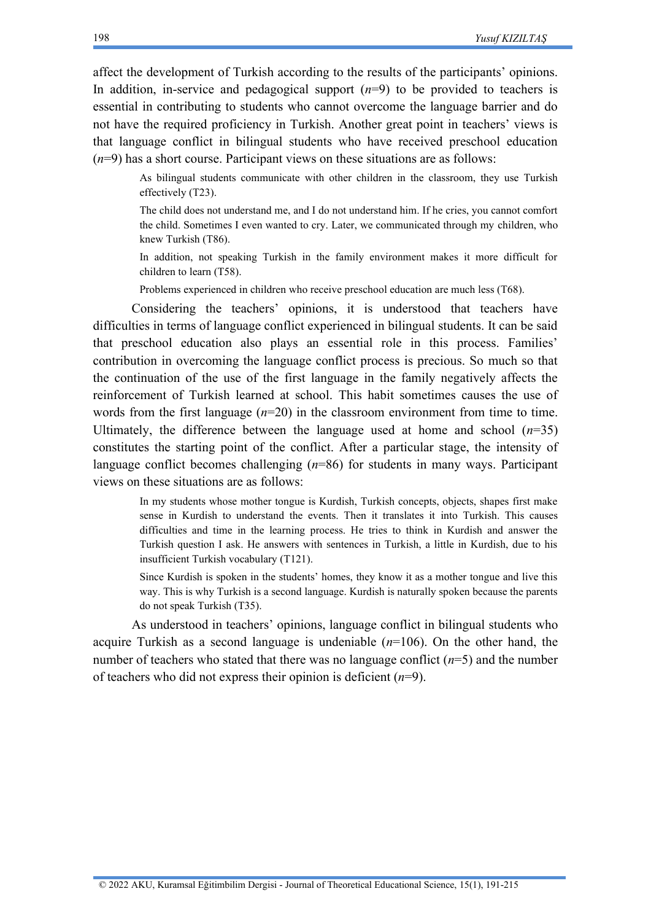affect the development of Turkish according to the results of the participants' opinions. In addition, in-service and pedagogical support  $(n=9)$  to be provided to teachers is essential in contributing to students who cannot overcome the language barrier and do not have the required proficiency in Turkish. Another great point in teachers' views is that language conflict in bilingual students who have received preschool education (*n*=9) has a short course. Participant views on these situations are as follows:

As bilingual students communicate with other children in the classroom, they use Turkish effectively (T23).

The child does not understand me, and I do not understand him. If he cries, you cannot comfort the child. Sometimes I even wanted to cry. Later, we communicated through my children, who knew Turkish (T86).

In addition, not speaking Turkish in the family environment makes it more difficult for children to learn (T58).

Problems experienced in children who receive preschool education are much less (T68).

Considering the teachers' opinions, it is understood that teachers have difficulties in terms of language conflict experienced in bilingual students. It can be said that preschool education also plays an essential role in this process. Families' contribution in overcoming the language conflict process is precious. So much so that the continuation of the use of the first language in the family negatively affects the reinforcement of Turkish learned at school. This habit sometimes causes the use of words from the first language  $(n=20)$  in the classroom environment from time to time. Ultimately, the difference between the language used at home and school  $(n=35)$ constitutes the starting point of the conflict. After a particular stage, the intensity of language conflict becomes challenging (*n*=86) for students in many ways. Participant views on these situations are as follows:

In my students whose mother tongue is Kurdish, Turkish concepts, objects, shapes first make sense in Kurdish to understand the events. Then it translates it into Turkish. This causes difficulties and time in the learning process. He tries to think in Kurdish and answer the Turkish question I ask. He answers with sentences in Turkish, a little in Kurdish, due to his insufficient Turkish vocabulary (T121).

Since Kurdish is spoken in the students' homes, they know it as a mother tongue and live this way. This is why Turkish is a second language. Kurdish is naturally spoken because the parents do not speak Turkish (T35).

As understood in teachers' opinions, language conflict in bilingual students who acquire Turkish as a second language is undeniable (*n*=106). On the other hand, the number of teachers who stated that there was no language conflict (*n*=5) and the number of teachers who did not express their opinion is deficient (*n*=9).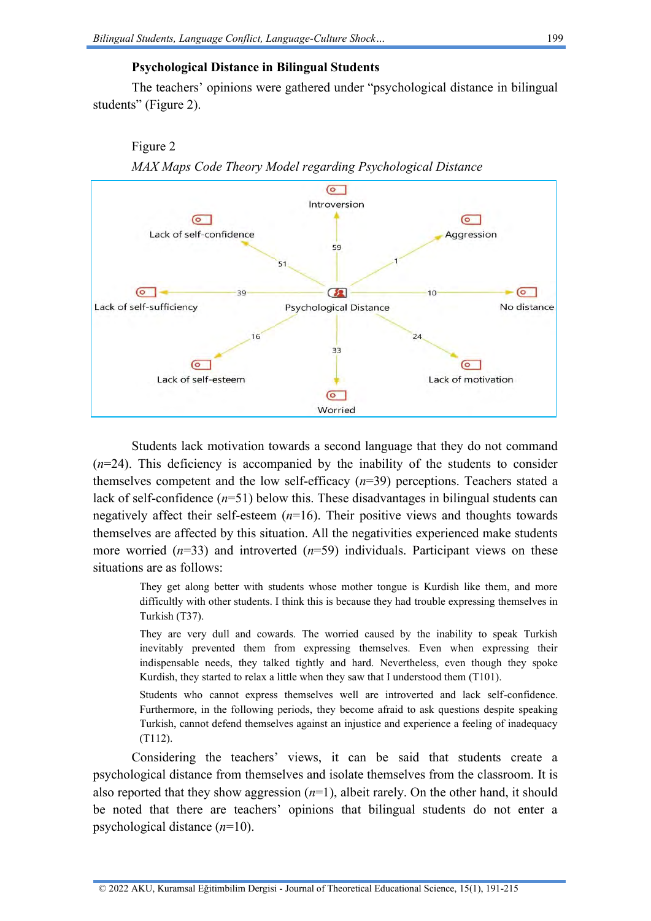Figure 2

# **Psychological Distance in Bilingual Students**

The teachers' opinions were gathered under "psychological distance in bilingual students" (Figure 2).



*MAX Maps Code Theory Model regarding Psychological Distance*

Students lack motivation towards a second language that they do not command (*n*=24). This deficiency is accompanied by the inability of the students to consider themselves competent and the low self-efficacy (*n*=39) perceptions. Teachers stated a lack of self-confidence (*n*=51) below this. These disadvantages in bilingual students can negatively affect their self-esteem (*n*=16). Their positive views and thoughts towards themselves are affected by this situation. All the negativities experienced make students more worried (*n*=33) and introverted (*n*=59) individuals. Participant views on these situations are as follows:

They get along better with students whose mother tongue is Kurdish like them, and more difficultly with other students. I think this is because they had trouble expressing themselves in Turkish (T37).

They are very dull and cowards. The worried caused by the inability to speak Turkish inevitably prevented them from expressing themselves. Even when expressing their indispensable needs, they talked tightly and hard. Nevertheless, even though they spoke Kurdish, they started to relax a little when they saw that I understood them (T101).

Students who cannot express themselves well are introverted and lack self-confidence. Furthermore, in the following periods, they become afraid to ask questions despite speaking Turkish, cannot defend themselves against an injustice and experience a feeling of inadequacy (T112).

Considering the teachers' views, it can be said that students create a psychological distance from themselves and isolate themselves from the classroom. It is also reported that they show aggression (*n*=1), albeit rarely. On the other hand, it should be noted that there are teachers' opinions that bilingual students do not enter a psychological distance (*n*=10).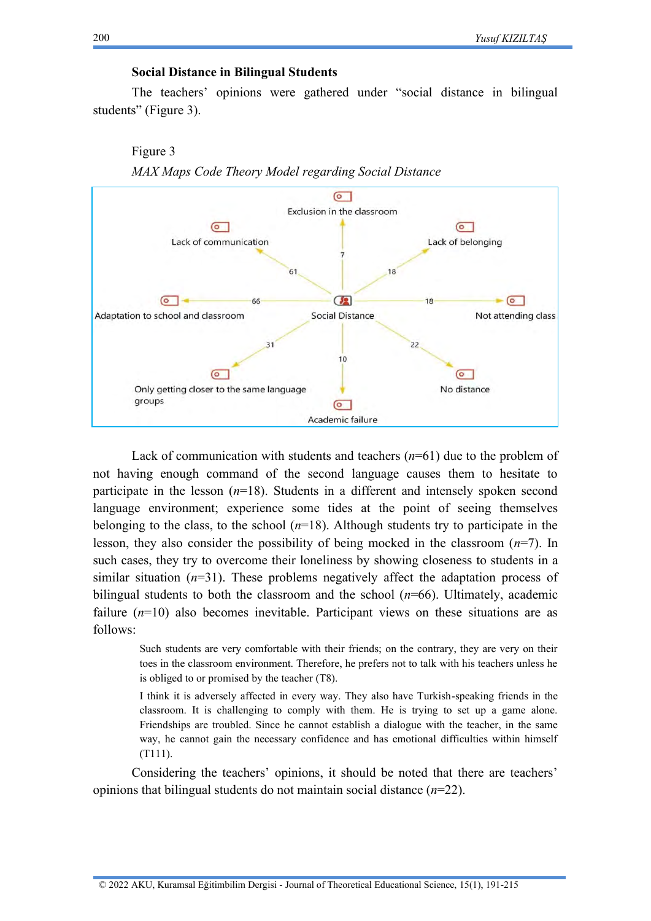# **Social Distance in Bilingual Students**

The teachers' opinions were gathered under "social distance in bilingual students" (Figure 3).

# Figure 3 *MAX Maps Code Theory Model regarding Social Distance*



Lack of communication with students and teachers (*n*=61) due to the problem of not having enough command of the second language causes them to hesitate to participate in the lesson (*n*=18). Students in a different and intensely spoken second language environment; experience some tides at the point of seeing themselves belonging to the class, to the school  $(n=18)$ . Although students try to participate in the lesson, they also consider the possibility of being mocked in the classroom (*n*=7). In such cases, they try to overcome their loneliness by showing closeness to students in a similar situation  $(n=31)$ . These problems negatively affect the adaptation process of bilingual students to both the classroom and the school (*n*=66). Ultimately, academic failure (*n*=10) also becomes inevitable. Participant views on these situations are as follows:

Such students are very comfortable with their friends; on the contrary, they are very on their toes in the classroom environment. Therefore, he prefers not to talk with his teachers unless he is obliged to or promised by the teacher (T8).

I think it is adversely affected in every way. They also have Turkish-speaking friends in the classroom. It is challenging to comply with them. He is trying to set up a game alone. Friendships are troubled. Since he cannot establish a dialogue with the teacher, in the same way, he cannot gain the necessary confidence and has emotional difficulties within himself (T111).

Considering the teachers' opinions, it should be noted that there are teachers' opinions that bilingual students do not maintain social distance (*n*=22).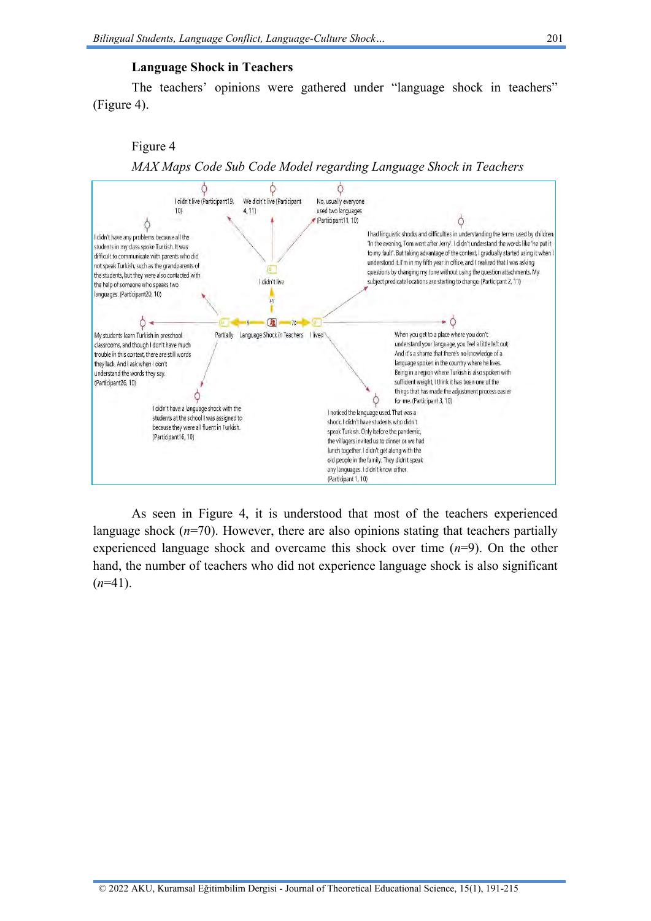### **Language Shock in Teachers**

The teachers' opinions were gathered under "language shock in teachers" (Figure 4).

### Figure 4



As seen in Figure 4, it is understood that most of the teachers experienced language shock  $(n=70)$ . However, there are also opinions stating that teachers partially experienced language shock and overcame this shock over time  $(n=9)$ . On the other hand, the number of teachers who did not experience language shock is also significant  $(n=41)$ .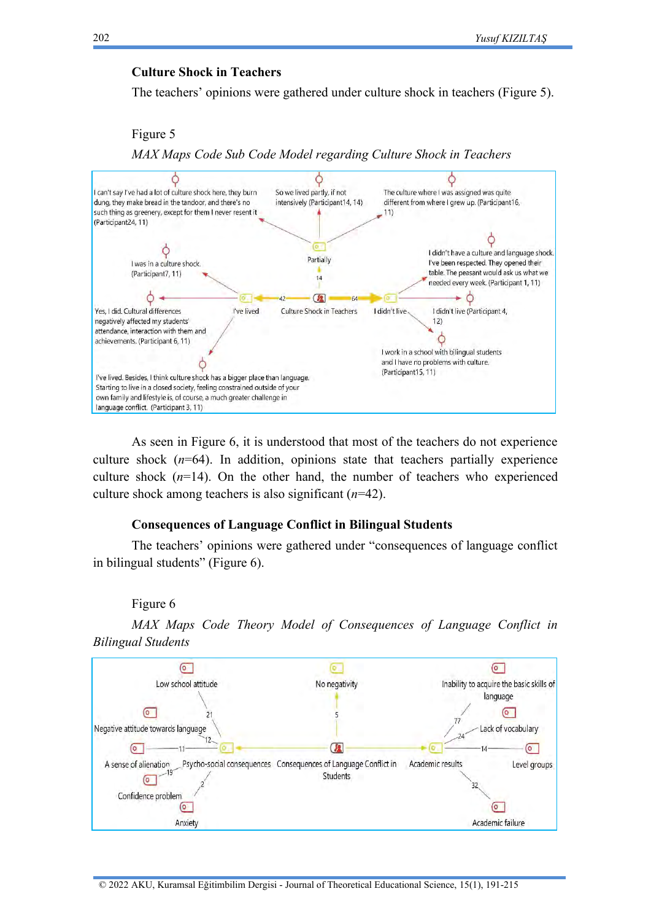### **Culture Shock in Teachers**

The teachers' opinions were gathered under culture shock in teachers (Figure 5).

Figure 5

*MAX Maps Code Sub Code Model regarding Culture Shock in Teachers*



As seen in Figure 6, it is understood that most of the teachers do not experience culture shock  $(n=64)$ . In addition, opinions state that teachers partially experience culture shock  $(n=14)$ . On the other hand, the number of teachers who experienced culture shock among teachers is also significant (*n*=42).

### **Consequences of Language Conflict in Bilingual Students**

The teachers' opinions were gathered under "consequences of language conflict in bilingual students" (Figure 6).

#### Figure 6

*MAX Maps Code Theory Model of Consequences of Language Conflict in Bilingual Students*

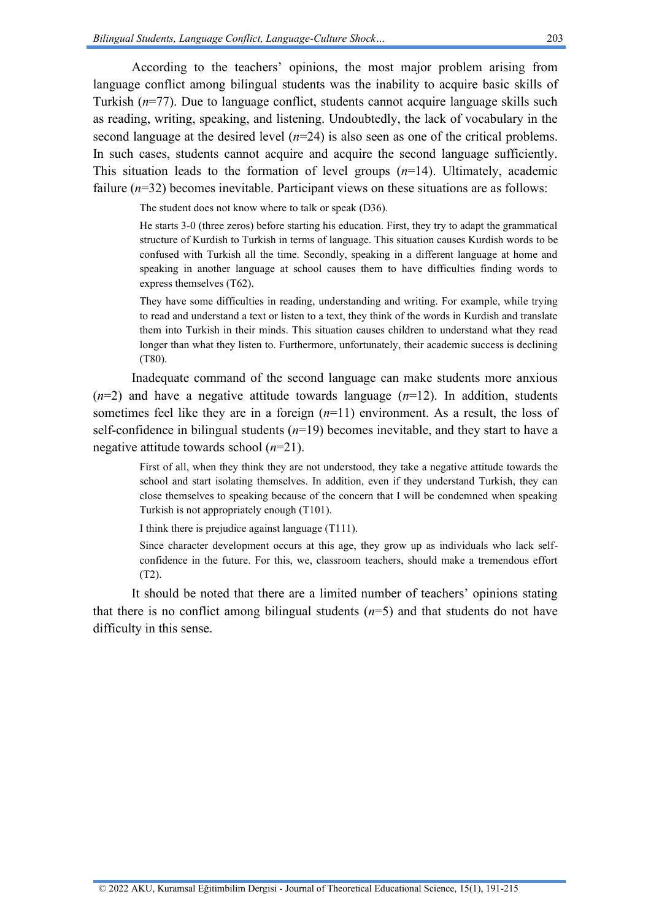According to the teachers' opinions, the most major problem arising from language conflict among bilingual students was the inability to acquire basic skills of Turkish (*n*=77). Due to language conflict, students cannot acquire language skills such as reading, writing, speaking, and listening. Undoubtedly, the lack of vocabulary in the second language at the desired level  $(n=24)$  is also seen as one of the critical problems. In such cases, students cannot acquire and acquire the second language sufficiently. This situation leads to the formation of level groups  $(n=14)$ . Ultimately, academic failure ( $n=32$ ) becomes inevitable. Participant views on these situations are as follows:

The student does not know where to talk or speak (D36).

He starts 3-0 (three zeros) before starting his education. First, they try to adapt the grammatical structure of Kurdish to Turkish in terms of language. This situation causes Kurdish words to be confused with Turkish all the time. Secondly, speaking in a different language at home and speaking in another language at school causes them to have difficulties finding words to express themselves (T62).

They have some difficulties in reading, understanding and writing. For example, while trying to read and understand a text or listen to a text, they think of the words in Kurdish and translate them into Turkish in their minds. This situation causes children to understand what they read longer than what they listen to. Furthermore, unfortunately, their academic success is declining (T80).

Inadequate command of the second language can make students more anxious  $(n=2)$  and have a negative attitude towards language  $(n=12)$ . In addition, students sometimes feel like they are in a foreign (*n*=11) environment. As a result, the loss of self-confidence in bilingual students (*n*=19) becomes inevitable, and they start to have a negative attitude towards school (*n*=21).

First of all, when they think they are not understood, they take a negative attitude towards the school and start isolating themselves. In addition, even if they understand Turkish, they can close themselves to speaking because of the concern that I will be condemned when speaking Turkish is not appropriately enough (T101).

I think there is prejudice against language (T111).

Since character development occurs at this age, they grow up as individuals who lack selfconfidence in the future. For this, we, classroom teachers, should make a tremendous effort (T2).

It should be noted that there are a limited number of teachers' opinions stating that there is no conflict among bilingual students  $(n=5)$  and that students do not have difficulty in this sense.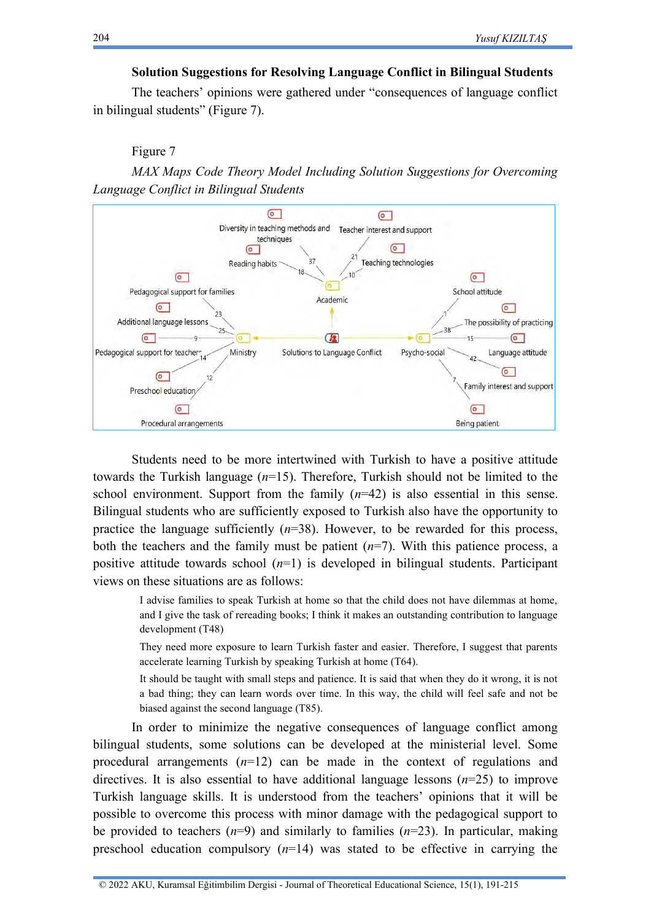# **Solution Suggestions for Resolving Language Conflict in Bilingual Students**

The teachers' opinions were gathered under "consequences of language conflict in bilingual students" (Figure 7).

# Figure 7

*MAX Maps Code Theory Model Including Solution Suggestions for Overcoming Language Conflict in Bilingual Students*



Students need to be more intertwined with Turkish to have a positive attitude towards the Turkish language (*n*=15). Therefore, Turkish should not be limited to the school environment. Support from the family  $(n=42)$  is also essential in this sense. Bilingual students who are sufficiently exposed to Turkish also have the opportunity to practice the language sufficiently  $(n=38)$ . However, to be rewarded for this process, both the teachers and the family must be patient  $(n=7)$ . With this patience process, a positive attitude towards school  $(n=1)$  is developed in bilingual students. Participant views on these situations are as follows:

I advise families to speak Turkish at home so that the child does not have dilemmas at home, and I give the task of rereading books; I think it makes an outstanding contribution to language development (T48)

They need more exposure to learn Turkish faster and easier. Therefore, I suggest that parents accelerate learning Turkish by speaking Turkish at home (T64).

It should be taught with small steps and patience. It is said that when they do it wrong, it is not a bad thing; they can learn words over time. In this way, the child will feel safe and not be biased against the second language (T85).

In order to minimize the negative consequences of language conflict among bilingual students, some solutions can be developed at the ministerial level. Some procedural arrangements (*n*=12) can be made in the context of regulations and directives. It is also essential to have additional language lessons (*n*=25) to improve Turkish language skills. It is understood from the teachers' opinions that it will be possible to overcome this process with minor damage with the pedagogical support to be provided to teachers  $(n=9)$  and similarly to families  $(n=23)$ . In particular, making preschool education compulsory  $(n=14)$  was stated to be effective in carrying the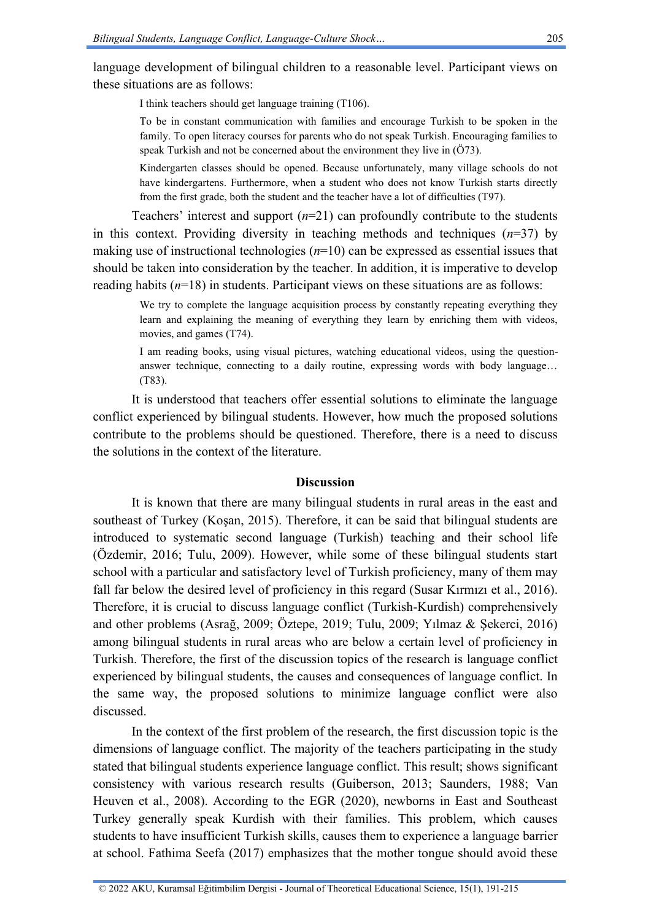language development of bilingual children to a reasonable level. Participant views on these situations are as follows:

I think teachers should get language training (T106).

To be in constant communication with families and encourage Turkish to be spoken in the family. To open literacy courses for parents who do not speak Turkish. Encouraging families to speak Turkish and not be concerned about the environment they live in (Ö73).

Kindergarten classes should be opened. Because unfortunately, many village schools do not have kindergartens. Furthermore, when a student who does not know Turkish starts directly from the first grade, both the student and the teacher have a lot of difficulties (T97).

Teachers' interest and support  $(n=21)$  can profoundly contribute to the students in this context. Providing diversity in teaching methods and techniques  $(n=37)$  by making use of instructional technologies (*n*=10) can be expressed as essential issues that should be taken into consideration by the teacher. In addition, it is imperative to develop reading habits  $(n=18)$  in students. Participant views on these situations are as follows:

We try to complete the language acquisition process by constantly repeating everything they learn and explaining the meaning of everything they learn by enriching them with videos, movies, and games (T74).

I am reading books, using visual pictures, watching educational videos, using the questionanswer technique, connecting to a daily routine, expressing words with body language… (T83).

It is understood that teachers offer essential solutions to eliminate the language conflict experienced by bilingual students. However, how much the proposed solutions contribute to the problems should be questioned. Therefore, there is a need to discuss the solutions in the context of the literature.

### **Discussion**

It is known that there are many bilingual students in rural areas in the east and southeast of Turkey (Koşan, 2015). Therefore, it can be said that bilingual students are introduced to systematic second language (Turkish) teaching and their school life (Özdemir, 2016; Tulu, 2009). However, while some of these bilingual students start school with a particular and satisfactory level of Turkish proficiency, many of them may fall far below the desired level of proficiency in this regard (Susar Kırmızı et al., 2016). Therefore, it is crucial to discuss language conflict (Turkish-Kurdish) comprehensively and other problems (Asrağ, 2009; Öztepe, 2019; Tulu, 2009; Yılmaz & Şekerci, 2016) among bilingual students in rural areas who are below a certain level of proficiency in Turkish. Therefore, the first of the discussion topics of the research is language conflict experienced by bilingual students, the causes and consequences of language conflict. In the same way, the proposed solutions to minimize language conflict were also discussed.

In the context of the first problem of the research, the first discussion topic is the dimensions of language conflict. The majority of the teachers participating in the study stated that bilingual students experience language conflict. This result; shows significant consistency with various research results (Guiberson, 2013; Saunders, 1988; Van Heuven et al., 2008). According to the EGR (2020), newborns in East and Southeast Turkey generally speak Kurdish with their families. This problem, which causes students to have insufficient Turkish skills, causes them to experience a language barrier at school. Fathima Seefa (2017) emphasizes that the mother tongue should avoid these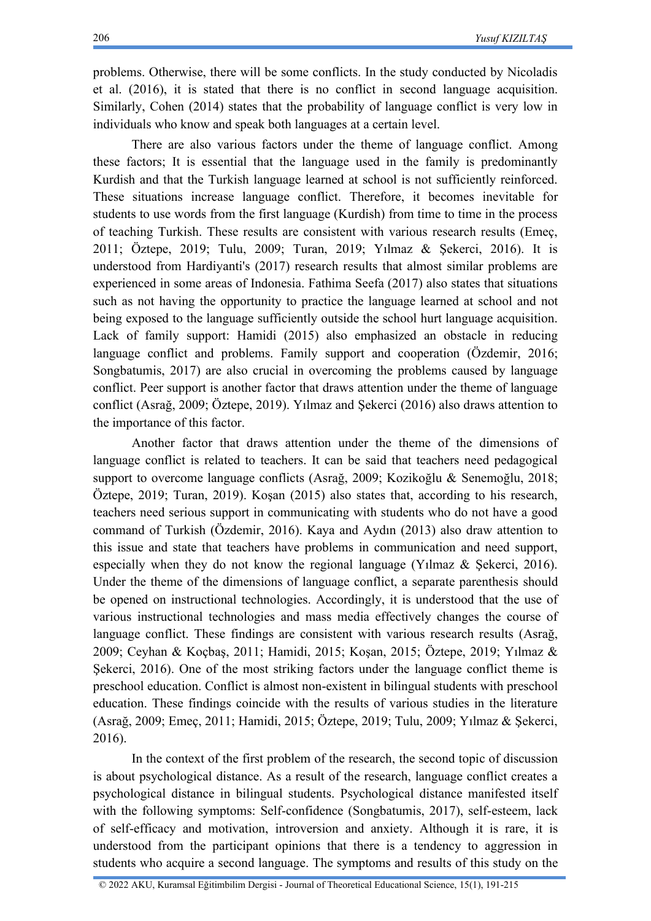problems. Otherwise, there will be some conflicts. In the study conducted by Nicoladis et al. (2016), it is stated that there is no conflict in second language acquisition. Similarly, Cohen (2014) states that the probability of language conflict is very low in individuals who know and speak both languages at a certain level.

There are also various factors under the theme of language conflict. Among these factors; It is essential that the language used in the family is predominantly Kurdish and that the Turkish language learned at school is not sufficiently reinforced. These situations increase language conflict. Therefore, it becomes inevitable for students to use words from the first language (Kurdish) from time to time in the process of teaching Turkish. These results are consistent with various research results (Emeç, 2011; Öztepe, 2019; Tulu, 2009; Turan, 2019; Yılmaz & Şekerci, 2016). It is understood from Hardiyanti's (2017) research results that almost similar problems are experienced in some areas of Indonesia. Fathima Seefa (2017) also states that situations such as not having the opportunity to practice the language learned at school and not being exposed to the language sufficiently outside the school hurt language acquisition. Lack of family support: Hamidi (2015) also emphasized an obstacle in reducing language conflict and problems. Family support and cooperation (Özdemir, 2016; Songbatumis, 2017) are also crucial in overcoming the problems caused by language conflict. Peer support is another factor that draws attention under the theme of language conflict (Asrağ, 2009; Öztepe, 2019). Yılmaz and Şekerci (2016) also draws attention to the importance of this factor.

Another factor that draws attention under the theme of the dimensions of language conflict is related to teachers. It can be said that teachers need pedagogical support to overcome language conflicts (Asrağ, 2009; Kozikoğlu & Senemoğlu, 2018; Öztepe, 2019; Turan, 2019). Koşan (2015) also states that, according to his research, teachers need serious support in communicating with students who do not have a good command of Turkish (Özdemir, 2016). Kaya and Aydın (2013) also draw attention to this issue and state that teachers have problems in communication and need support, especially when they do not know the regional language (Yılmaz & Şekerci, 2016). Under the theme of the dimensions of language conflict, a separate parenthesis should be opened on instructional technologies. Accordingly, it is understood that the use of various instructional technologies and mass media effectively changes the course of language conflict. These findings are consistent with various research results (Asrağ, 2009; Ceyhan & Koçbaş, 2011; Hamidi, 2015; Koşan, 2015; Öztepe, 2019; Yılmaz & Şekerci, 2016). One of the most striking factors under the language conflict theme is preschool education. Conflict is almost non-existent in bilingual students with preschool education. These findings coincide with the results of various studies in the literature (Asrağ, 2009; Emeç, 2011; Hamidi, 2015; Öztepe, 2019; Tulu, 2009; Yılmaz & Şekerci, 2016).

In the context of the first problem of the research, the second topic of discussion is about psychological distance. As a result of the research, language conflict creates a psychological distance in bilingual students. Psychological distance manifested itself with the following symptoms: Self-confidence (Songbatumis, 2017), self-esteem, lack of self-efficacy and motivation, introversion and anxiety. Although it is rare, it is understood from the participant opinions that there is a tendency to aggression in students who acquire a second language. The symptoms and results of this study on the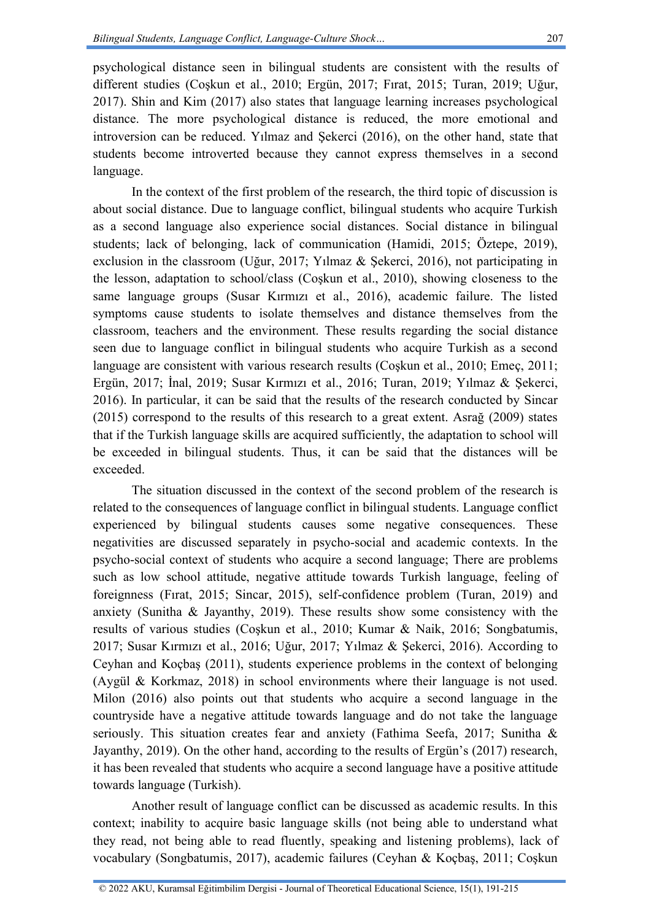207

psychological distance seen in bilingual students are consistent with the results of different studies (Coşkun et al., 2010; Ergün, 2017; Fırat, 2015; Turan, 2019; Uğur, 2017). Shin and Kim (2017) also states that language learning increases psychological distance. The more psychological distance is reduced, the more emotional and introversion can be reduced. Yılmaz and Şekerci (2016), on the other hand, state that students become introverted because they cannot express themselves in a second language.

In the context of the first problem of the research, the third topic of discussion is about social distance. Due to language conflict, bilingual students who acquire Turkish as a second language also experience social distances. Social distance in bilingual students; lack of belonging, lack of communication (Hamidi, 2015; Öztepe, 2019), exclusion in the classroom (Uğur, 2017; Yılmaz & Şekerci, 2016), not participating in the lesson, adaptation to school/class (Coşkun et al., 2010), showing closeness to the same language groups (Susar Kırmızı et al., 2016), academic failure. The listed symptoms cause students to isolate themselves and distance themselves from the classroom, teachers and the environment. These results regarding the social distance seen due to language conflict in bilingual students who acquire Turkish as a second language are consistent with various research results (Coskun et al., 2010; Emec, 2011; Ergün, 2017; İnal, 2019; Susar Kırmızı et al., 2016; Turan, 2019; Yılmaz & Şekerci, 2016). In particular, it can be said that the results of the research conducted by Sincar (2015) correspond to the results of this research to a great extent. Asrağ (2009) states that if the Turkish language skills are acquired sufficiently, the adaptation to school will be exceeded in bilingual students. Thus, it can be said that the distances will be exceeded.

The situation discussed in the context of the second problem of the research is related to the consequences of language conflict in bilingual students. Language conflict experienced by bilingual students causes some negative consequences. These negativities are discussed separately in psycho-social and academic contexts. In the psycho-social context of students who acquire a second language; There are problems such as low school attitude, negative attitude towards Turkish language, feeling of foreignness (Fırat, 2015; Sincar, 2015), self-confidence problem (Turan, 2019) and anxiety (Sunitha & Jayanthy, 2019). These results show some consistency with the results of various studies (Coşkun et al., 2010; Kumar & Naik, 2016; Songbatumis, 2017; Susar Kırmızı et al., 2016; Uğur, 2017; Yılmaz & Şekerci, 2016). According to Ceyhan and Koçbaş (2011), students experience problems in the context of belonging (Aygül & Korkmaz, 2018) in school environments where their language is not used. Milon (2016) also points out that students who acquire a second language in the countryside have a negative attitude towards language and do not take the language seriously. This situation creates fear and anxiety (Fathima Seefa, 2017; Sunitha & Jayanthy, 2019). On the other hand, according to the results of Ergün's (2017) research, it has been revealed that students who acquire a second language have a positive attitude towards language (Turkish).

Another result of language conflict can be discussed as academic results. In this context; inability to acquire basic language skills (not being able to understand what they read, not being able to read fluently, speaking and listening problems), lack of vocabulary (Songbatumis, 2017), academic failures (Ceyhan & Koçbaş, 2011; Coşkun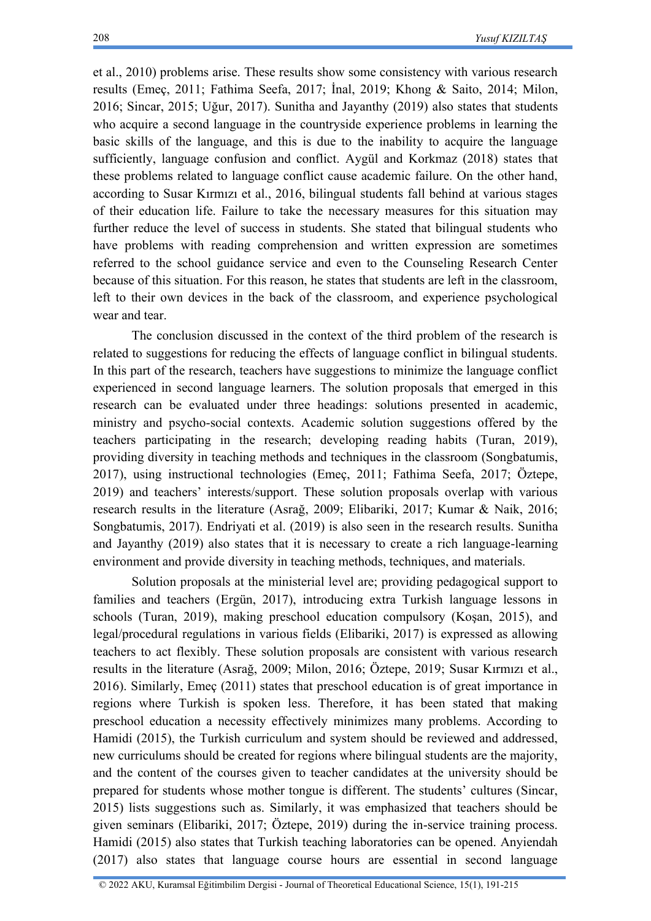et al., 2010) problems arise. These results show some consistency with various research results (Emeç, 2011; Fathima Seefa, 2017; İnal, 2019; Khong & Saito, 2014; Milon, 2016; Sincar, 2015; Uğur, 2017). Sunitha and Jayanthy (2019) also states that students who acquire a second language in the countryside experience problems in learning the basic skills of the language, and this is due to the inability to acquire the language sufficiently, language confusion and conflict. Aygül and Korkmaz (2018) states that these problems related to language conflict cause academic failure. On the other hand, according to Susar Kırmızı et al., 2016, bilingual students fall behind at various stages of their education life. Failure to take the necessary measures for this situation may further reduce the level of success in students. She stated that bilingual students who have problems with reading comprehension and written expression are sometimes referred to the school guidance service and even to the Counseling Research Center because of this situation. For this reason, he states that students are left in the classroom, left to their own devices in the back of the classroom, and experience psychological wear and tear.

The conclusion discussed in the context of the third problem of the research is related to suggestions for reducing the effects of language conflict in bilingual students. In this part of the research, teachers have suggestions to minimize the language conflict experienced in second language learners. The solution proposals that emerged in this research can be evaluated under three headings: solutions presented in academic, ministry and psycho-social contexts. Academic solution suggestions offered by the teachers participating in the research; developing reading habits (Turan, 2019), providing diversity in teaching methods and techniques in the classroom (Songbatumis, 2017), using instructional technologies (Emeç, 2011; Fathima Seefa, 2017; Öztepe, 2019) and teachers' interests/support. These solution proposals overlap with various research results in the literature (Asrağ, 2009; Elibariki, 2017; Kumar & Naik, 2016; Songbatumis, 2017). Endriyati et al. (2019) is also seen in the research results. Sunitha and Jayanthy (2019) also states that it is necessary to create a rich language-learning environment and provide diversity in teaching methods, techniques, and materials.

Solution proposals at the ministerial level are; providing pedagogical support to families and teachers (Ergün, 2017), introducing extra Turkish language lessons in schools (Turan, 2019), making preschool education compulsory (Koşan, 2015), and legal/procedural regulations in various fields (Elibariki, 2017) is expressed as allowing teachers to act flexibly. These solution proposals are consistent with various research results in the literature (Asrağ, 2009; Milon, 2016; Öztepe, 2019; Susar Kırmızı et al., 2016). Similarly, Emeç (2011) states that preschool education is of great importance in regions where Turkish is spoken less. Therefore, it has been stated that making preschool education a necessity effectively minimizes many problems. According to Hamidi (2015), the Turkish curriculum and system should be reviewed and addressed, new curriculums should be created for regions where bilingual students are the majority, and the content of the courses given to teacher candidates at the university should be prepared for students whose mother tongue is different. The students' cultures (Sincar, 2015) lists suggestions such as. Similarly, it was emphasized that teachers should be given seminars (Elibariki, 2017; Öztepe, 2019) during the in-service training process. Hamidi (2015) also states that Turkish teaching laboratories can be opened. Anyiendah (2017) also states that language course hours are essential in second language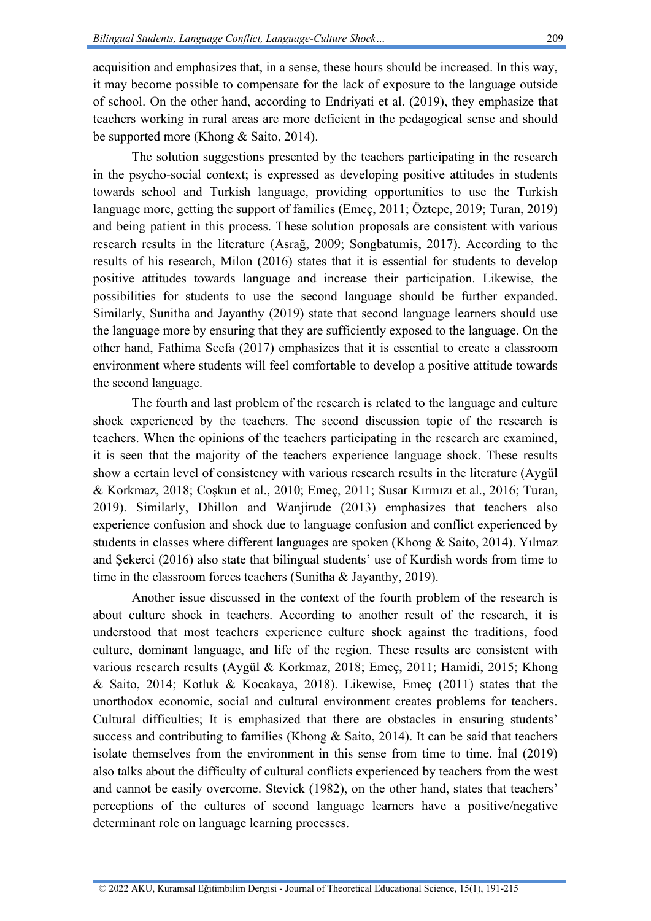acquisition and emphasizes that, in a sense, these hours should be increased. In this way, it may become possible to compensate for the lack of exposure to the language outside of school. On the other hand, according to Endriyati et al. (2019), they emphasize that teachers working in rural areas are more deficient in the pedagogical sense and should be supported more (Khong & Saito, 2014).

The solution suggestions presented by the teachers participating in the research in the psycho-social context; is expressed as developing positive attitudes in students towards school and Turkish language, providing opportunities to use the Turkish language more, getting the support of families (Emeç, 2011; Öztepe, 2019; Turan, 2019) and being patient in this process. These solution proposals are consistent with various research results in the literature (Asrağ, 2009; Songbatumis, 2017). According to the results of his research, Milon (2016) states that it is essential for students to develop positive attitudes towards language and increase their participation. Likewise, the possibilities for students to use the second language should be further expanded. Similarly, Sunitha and Jayanthy (2019) state that second language learners should use the language more by ensuring that they are sufficiently exposed to the language. On the other hand, Fathima Seefa (2017) emphasizes that it is essential to create a classroom environment where students will feel comfortable to develop a positive attitude towards the second language.

The fourth and last problem of the research is related to the language and culture shock experienced by the teachers. The second discussion topic of the research is teachers. When the opinions of the teachers participating in the research are examined, it is seen that the majority of the teachers experience language shock. These results show a certain level of consistency with various research results in the literature (Aygül & Korkmaz, 2018; Coşkun et al., 2010; Emeç, 2011; Susar Kırmızı et al., 2016; Turan, 2019). Similarly, Dhillon and Wanjirude (2013) emphasizes that teachers also experience confusion and shock due to language confusion and conflict experienced by students in classes where different languages are spoken (Khong & Saito, 2014). Yılmaz and Şekerci (2016) also state that bilingual students' use of Kurdish words from time to time in the classroom forces teachers (Sunitha & Jayanthy, 2019).

Another issue discussed in the context of the fourth problem of the research is about culture shock in teachers. According to another result of the research, it is understood that most teachers experience culture shock against the traditions, food culture, dominant language, and life of the region. These results are consistent with various research results (Aygül & Korkmaz, 2018; Emeç, 2011; Hamidi, 2015; Khong & Saito, 2014; Kotluk & Kocakaya, 2018). Likewise, Emeç (2011) states that the unorthodox economic, social and cultural environment creates problems for teachers. Cultural difficulties; It is emphasized that there are obstacles in ensuring students' success and contributing to families (Khong  $\&$  Saito, 2014). It can be said that teachers isolate themselves from the environment in this sense from time to time. İnal (2019) also talks about the difficulty of cultural conflicts experienced by teachers from the west and cannot be easily overcome. Stevick (1982), on the other hand, states that teachers' perceptions of the cultures of second language learners have a positive/negative determinant role on language learning processes.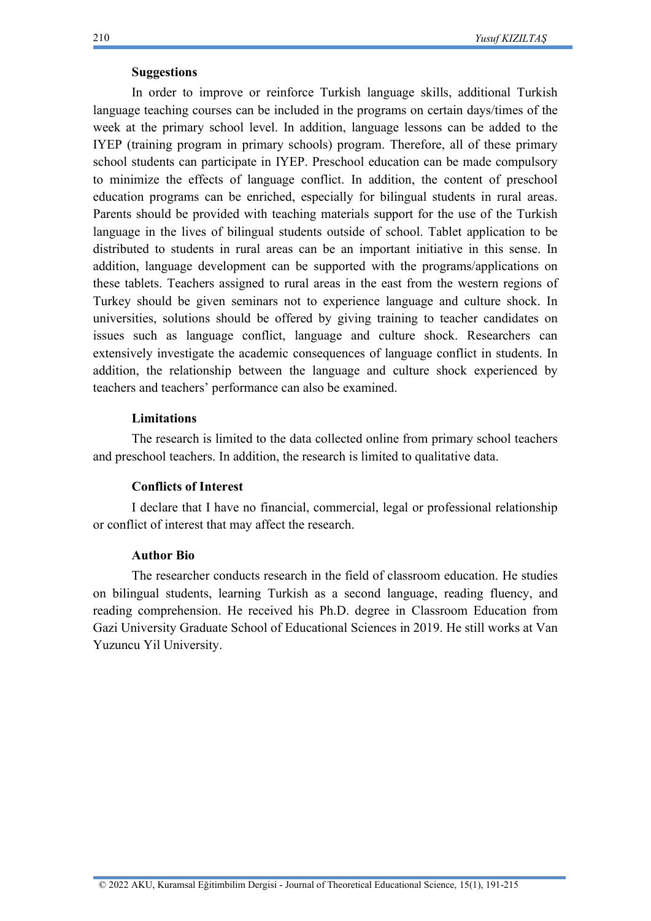# **Suggestions**

In order to improve or reinforce Turkish language skills, additional Turkish language teaching courses can be included in the programs on certain days/times of the week at the primary school level. In addition, language lessons can be added to the IYEP (training program in primary schools) program. Therefore, all of these primary school students can participate in IYEP. Preschool education can be made compulsory to minimize the effects of language conflict. In addition, the content of preschool education programs can be enriched, especially for bilingual students in rural areas. Parents should be provided with teaching materials support for the use of the Turkish language in the lives of bilingual students outside of school. Tablet application to be distributed to students in rural areas can be an important initiative in this sense. In addition, language development can be supported with the programs/applications on these tablets. Teachers assigned to rural areas in the east from the western regions of Turkey should be given seminars not to experience language and culture shock. In universities, solutions should be offered by giving training to teacher candidates on issues such as language conflict, language and culture shock. Researchers can extensively investigate the academic consequences of language conflict in students. In addition, the relationship between the language and culture shock experienced by teachers and teachers' performance can also be examined.

### **Limitations**

The research is limited to the data collected online from primary school teachers and preschool teachers. In addition, the research is limited to qualitative data.

# **Conflicts of Interest**

I declare that I have no financial, commercial, legal or professional relationship or conflict of interest that may affect the research.

# **Author Bio**

The researcher conducts research in the field of classroom education. He studies on bilingual students, learning Turkish as a second language, reading fluency, and reading comprehension. He received his Ph.D. degree in Classroom Education from Gazi University Graduate School of Educational Sciences in 2019. He still works at Van Yuzuncu Yil University.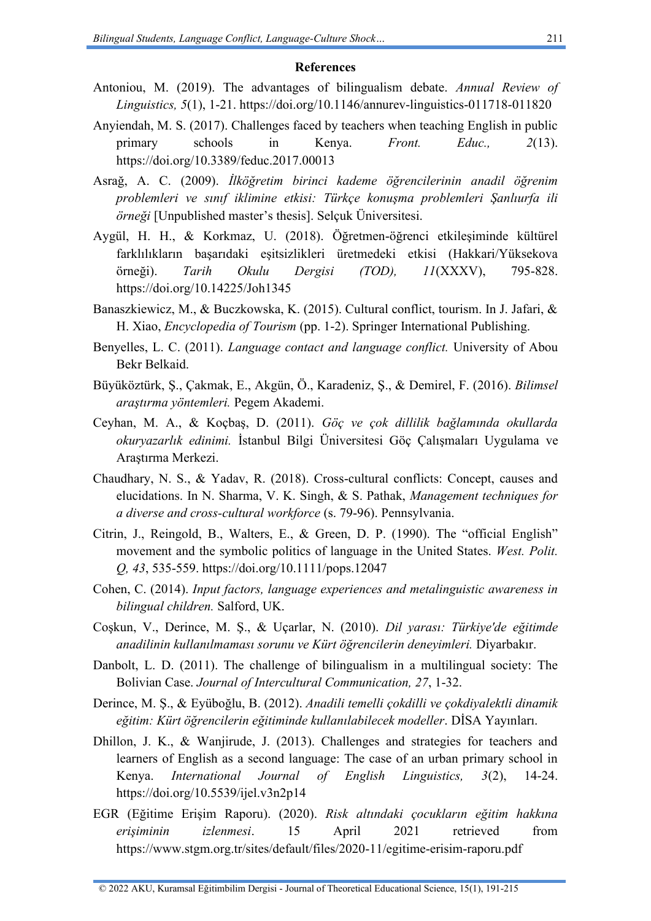#### **References**

- Antoniou, M. (2019). The advantages of bilingualism debate. *Annual Review of Linguistics, 5*(1), 1-21. <https://doi.org/10.1146/annurev-linguistics-011718-011820>
- Anyiendah, M. S. (2017). Challenges faced by teachers when teaching English in public primary schools in Kenya. *Front. Educ., 2*(13). <https://doi.org/10.3389/feduc.2017.00013>
- Asrağ, A. C. (2009). *İlköğretim birinci kademe öğrencilerinin anadil öğrenim problemleri ve sınıf iklimine etkisi: Türkçe konuşma problemleri Şanlıurfa ili örneği* [Unpublished master's thesis]. Selçuk Üniversitesi.
- Aygül, H. H., & Korkmaz, U. (2018). Öğretmen-öğrenci etkileşiminde kültürel farklılıkların başarıdaki eşitsizlikleri üretmedeki etkisi (Hakkari/Yüksekova örneği). *Tarih Okulu Dergisi (TOD), 11*(XXXV), 795-828. <https://doi.org/10.14225/Joh1345>
- Banaszkiewicz, M., & Buczkowska, K. (2015). Cultural conflict, tourism. In J. Jafari, & H. Xiao, *Encyclopedia of Tourism* (pp. 1-2). Springer International Publishing.
- Benyelles, L. C. (2011). *Language contact and language conflict.* University of Abou Bekr Belkaid.
- Büyüköztürk, Ş., Çakmak, E., Akgün, Ö., Karadeniz, Ş., & Demirel, F. (2016). *Bilimsel araştırma yöntemleri.* Pegem Akademi.
- Ceyhan, M. A., & Koçbaş, D. (2011). *Göç ve çok dillilik bağlamında okullarda okuryazarlık edinimi.* İstanbul Bilgi Üniversitesi Göç Çalışmaları Uygulama ve Araştırma Merkezi.
- Chaudhary, N. S., & Yadav, R. (2018). Cross-cultural conflicts: Concept, causes and elucidations. In N. Sharma, V. K. Singh, & S. Pathak, *Management techniques for a diverse and cross-cultural workforce* (s. 79-96). Pennsylvania.
- Citrin, J., Reingold, B., Walters, E., & Green, D. P. (1990). The "official English" movement and the symbolic politics of language in the United States. *West. Polit. Q, 43*, 535-559.<https://doi.org/10.1111/pops.12047>
- Cohen, C. (2014). *Input factors, language experiences and metalinguistic awareness in bilingual children.* Salford, UK.
- Coşkun, V., Derince, M. Ş., & Uçarlar, N. (2010). *Dil yarası: Türkiye'de eğitimde anadilinin kullanılmaması sorunu ve Kürt öğrencilerin deneyimleri.* Diyarbakır.
- Danbolt, L. D. (2011). The challenge of bilingualism in a multilingual society: The Bolivian Case. *Journal of Intercultural Communication, 27*, 1-32.
- Derince, M. Ş., & Eyüboğlu, B. (2012). *Anadili temelli çokdilli ve çokdiyalektli dinamik eğitim: Kürt öğrencilerin eğitiminde kullanılabilecek modeller*. DİSA Yayınları.
- Dhillon, J. K., & Wanjirude, J. (2013). Challenges and strategies for teachers and learners of English as a second language: The case of an urban primary school in Kenya. *International Journal of English Linguistics, 3*(2), 14-24. <https://doi.org/10.5539/ijel.v3n2p14>
- EGR (Eğitime Erişim Raporu). (2020). *Risk altındaki çocukların eğitim hakkına erişiminin izlenmesi*. 15 April 2021 retrieved from <https://www.stgm.org.tr/sites/default/files/2020-11/egitime-erisim-raporu.pdf>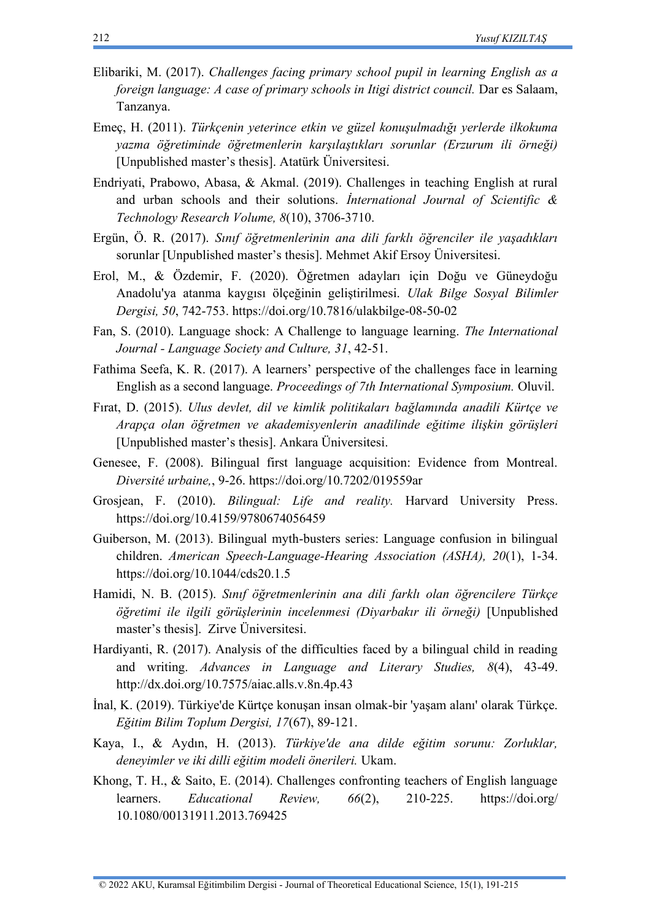- Elibariki, M. (2017). *Challenges facing primary school pupil in learning English as a foreign language: A case of primary schools in Itigi district council.* Dar es Salaam, Tanzanya.
- Emeç, H. (2011). *Türkçenin yeterince etkin ve güzel konuşulmadığı yerlerde ilkokuma yazma öğretiminde öğretmenlerin karşılaştıkları sorunlar (Erzurum ili örneği)*  [Unpublished master's thesis]. Atatürk Üniversitesi.
- Endriyati, Prabowo, Abasa, & Akmal. (2019). Challenges in teaching English at rural and urban schools and their solutions. *İnternational Journal of Scientific & Technology Research Volume, 8*(10), 3706-3710.
- Ergün, Ö. R. (2017). *Sınıf öğretmenlerinin ana dili farklı öğrenciler ile yaşadıkları*  sorunlar [Unpublished master's thesis]. Mehmet Akif Ersoy Üniversitesi.
- Erol, M., & Özdemir, F. (2020). Öğretmen adayları için Doğu ve Güneydoğu Anadolu'ya atanma kaygısı ölçeğinin geliştirilmesi. *Ulak Bilge Sosyal Bilimler Dergisi, 50*, 742-753. <https://doi.org/10.7816/ulakbilge-08-50-02>
- Fan, S. (2010). Language shock: A Challenge to language learning. *The International Journal - Language Society and Culture, 31*, 42-51.
- Fathima Seefa, K. R. (2017). A learners' perspective of the challenges face in learning English as a second language. *Proceedings of 7th International Symposium.* Oluvil.
- Fırat, D. (2015). *Ulus devlet, dil ve kimlik politikaları bağlamında anadili Kürtçe ve Arapça olan öğretmen ve akademisyenlerin anadilinde eğitime ilişkin görüşleri*  [Unpublished master's thesis]. Ankara Üniversitesi.
- Genesee, F. (2008). Bilingual first language acquisition: Evidence from Montreal. *Diversité urbaine,*, 9-26. <https://doi.org/10.7202/019559ar>
- Grosjean, F. (2010). *Bilingual: Life and reality.* Harvard University Press. <https://doi.org/10.4159/9780674056459>
- Guiberson, M. (2013). Bilingual myth-busters series: Language confusion in bilingual children. *American Speech-Language-Hearing Association (ASHA), 20*(1), 1-34. https://doi.org[/10.1044/cds20.1.5](http://dx.doi.org/10.1044/cds20.1.5)
- Hamidi, N. B. (2015). *Sınıf öğretmenlerinin ana dili farklı olan öğrencilere Türkçe öğretimi ile ilgili görüşlerinin incelenmesi (Diyarbakır ili örneği)* [Unpublished master's thesis]. Zirve Üniversitesi.
- Hardiyanti, R. (2017). Analysis of the difficulties faced by a bilingual child in reading and writing. *Advances in Language and Literary Studies, 8*(4), 43-49. <http://dx.doi.org/10.7575/aiac.alls.v.8n.4p.43>
- İnal, K. (2019). Türkiye'de Kürtçe konuşan insan olmak-bir 'yaşam alanı' olarak Türkçe. *Eğitim Bilim Toplum Dergisi, 17*(67), 89-121.
- Kaya, I., & Aydın, H. (2013). *Türkiye'de ana dilde eğitim sorunu: Zorluklar, deneyimler ve iki dilli eğitim modeli önerileri.* Ukam.
- Khong, T. H., & Saito, E. (2014). Challenges confronting teachers of English language learners. *Educational Review, 66*(2), 210-225. <https://doi.org/> [10.1080/00131911.2013.769425](http://dx.doi.org/10.1080/00131911.2013.769425)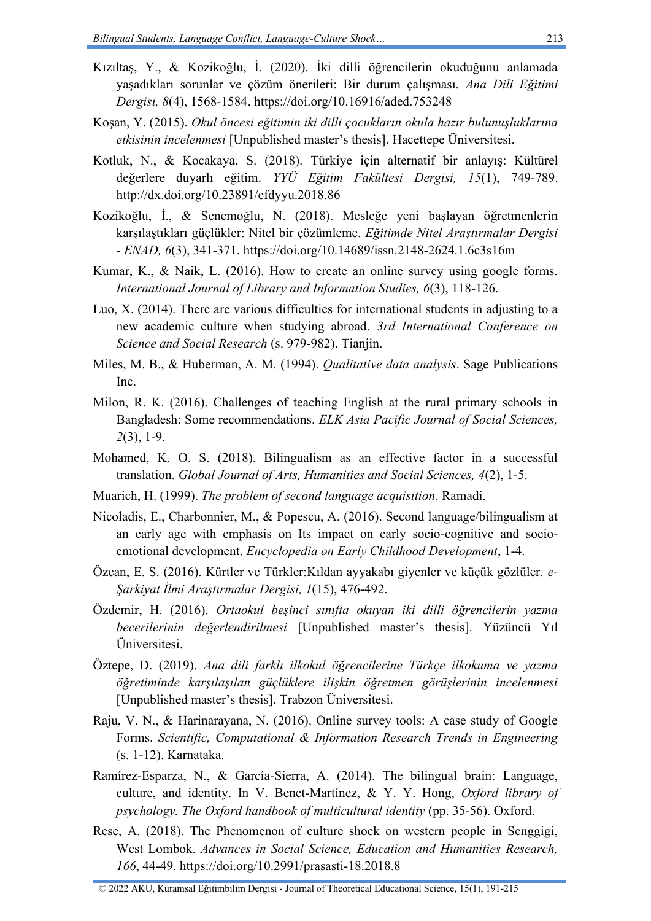- Kızıltaş, Y., & Kozikoğlu, İ. (2020). İki dilli öğrencilerin okuduğunu anlamada yaşadıkları sorunlar ve çözüm önerileri: Bir durum çalışması. *Ana Dili Eğitimi Dergisi, 8*(4), 1568-1584. <https://doi.org/10.16916/aded.753248>
- Koşan, Y. (2015). *Okul öncesi eğitimin iki dilli çocukların okula hazır bulunuşluklarına etkisinin incelenmesi* [Unpublished master's thesis]. Hacettepe Üniversitesi.
- Kotluk, N., & Kocakaya, S. (2018). Türkiye için alternatif bir anlayış: Kültürel değerlere duyarlı eğitim. *YYÜ Eğitim Fakültesi Dergisi, 15*(1), 749-789. <http://dx.doi.org/10.23891/efdyyu.2018.86>
- Kozikoğlu, İ., & Senemoğlu, N. (2018). Mesleğe yeni başlayan öğretmenlerin karşılaştıkları güçlükler: Nitel bir çözümleme. *Eğitimde Nitel Araştırmalar Dergisi - ENAD, 6*(3), 341-371. <https://doi.org/10.14689/issn.2148-2624.1.6c3s16m>
- Kumar, K., & Naik, L. (2016). How to create an online survey using google forms. *International Journal of Library and Information Studies, 6*(3), 118-126.
- Luo, X. (2014). There are various difficulties for international students in adjusting to a new academic culture when studying abroad. *3rd International Conference on Science and Social Research* (s. 979-982). Tianjin.
- Miles, M. B., & Huberman, A. M. (1994). *Qualitative data analysis*. Sage Publications Inc.
- Milon, R. K. (2016). Challenges of teaching English at the rural primary schools in Bangladesh: Some recommendations. *ELK Asia Pacific Journal of Social Sciences, 2*(3), 1-9.
- Mohamed, K. O. S. (2018). Bilingualism as an effective factor in a successful translation. *Global Journal of Arts, Humanities and Social Sciences, 4*(2), 1-5.
- Muarich, H. (1999). *The problem of second language acquisition.* Ramadi.
- Nicoladis, E., Charbonnier, M., & Popescu, A. (2016). Second language/bilingualism at an early age with emphasis on Its impact on early socio-cognitive and socioemotional development. *Encyclopedia on Early Childhood Development*, 1-4.
- Özcan, E. S. (2016). Kürtler ve Türkler:Kıldan ayyakabı giyenler ve küçük gözlüler. *e-Şarkiyat İlmi Araştırmalar Dergisi, 1*(15), 476-492.
- Özdemir, H. (2016). *Ortaokul beşinci sınıfta okuyan iki dilli öğrencilerin yazma becerilerinin değerlendirilmesi* [Unpublished master's thesis]. Yüzüncü Yıl Üniversitesi.
- Öztepe, D. (2019). *Ana dili farklı ilkokul öğrencilerine Türkçe ilkokuma ve yazma öğretiminde karşılaşılan güçlüklere ilişkin öğretmen görüşlerinin incelenmesi*  [Unpublished master's thesis]. Trabzon Üniversitesi.
- Raju, V. N., & Harinarayana, N. (2016). Online survey tools: A case study of Google Forms. *Scientific, Computational & Information Research Trends in Engineering* (s. 1-12). Karnataka.
- Ramírez-Esparza, N., & García-Sierra, A. (2014). The bilingual brain: Language, culture, and identity. In V. Benet-Martínez, & Y. Y. Hong, *Oxford library of psychology. The Oxford handbook of multicultural identity* (pp. 35-56). Oxford.
- Rese, A. (2018). The Phenomenon of culture shock on western people in Senggigi, West Lombok. *Advances in Social Science, Education and Humanities Research, 166*, 44-49. <https://doi.org/10.2991/prasasti-18.2018.8>

<sup>© 2022</sup> AKU, Kuramsal Eğitimbilim Dergisi - Journal of Theoretical Educational Science, 15(1), 191-215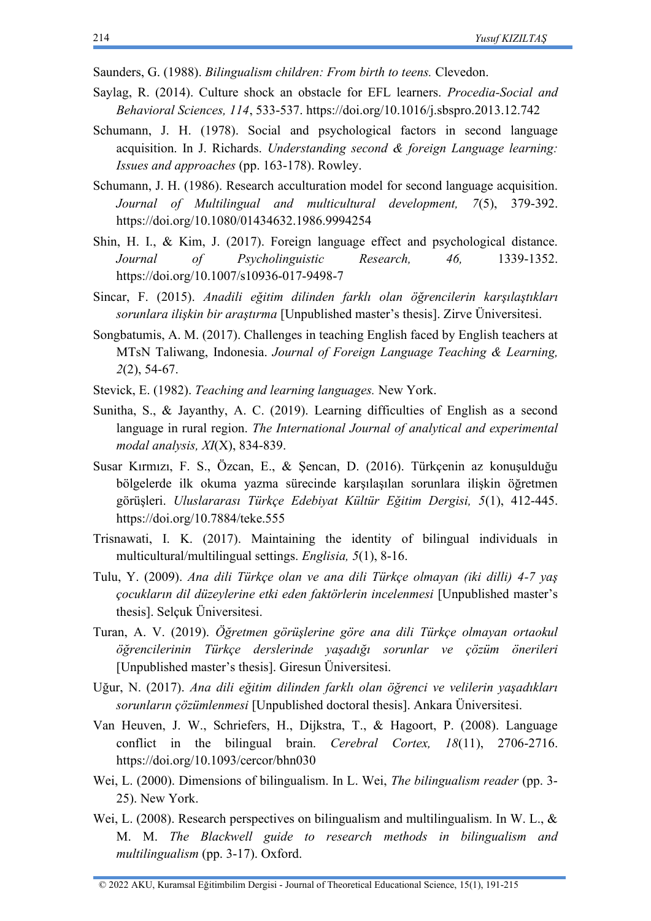- Saunders, G. (1988). *Bilingualism children: From birth to teens.* Clevedon.
- Saylag, R. (2014). Culture shock an obstacle for EFL learners. *Procedia-Social and Behavioral Sciences, 114*, 533-537. <https://doi.org/10.1016/j.sbspro.2013.12.742>
- Schumann, J. H. (1978). Social and psychological factors in second language acquisition. In J. Richards. *Understanding second & foreign Language learning: Issues and approaches* (pp. 163-178). Rowley.
- Schumann, J. H. (1986). Research acculturation model for second language acquisition. *Journal of Multilingual and multicultural development, 7*(5), 379-392. <https://doi.org/10.1080/01434632.1986.9994254>
- Shin, H. I., & Kim, J. (2017). Foreign language effect and psychological distance. *Journal of Psycholinguistic Research, 46,* 1339-1352. <https://doi.org/10.1007/s10936-017-9498-7>
- Sincar, F. (2015). *Anadili eğitim dilinden farklı olan öğrencilerin karşılaştıkları sorunlara ilişkin bir araştırma* [Unpublished master's thesis]. Zirve Üniversitesi.
- Songbatumis, A. M. (2017). Challenges in teaching English faced by English teachers at MTsN Taliwang, Indonesia. *Journal of Foreign Language Teaching & Learning, 2*(2), 54-67.
- Stevick, E. (1982). *Teaching and learning languages.* New York.
- Sunitha, S., & Jayanthy, A. C. (2019). Learning difficulties of English as a second language in rural region. *The International Journal of analytical and experimental modal analysis, XI*(X), 834-839.
- Susar Kırmızı, F. S., Özcan, E., & Şencan, D. (2016). Türkçenin az konuşulduğu bölgelerde ilk okuma yazma sürecinde karşılaşılan sorunlara ilişkin öğretmen görüşleri. *Uluslararası Türkçe Edebiyat Kültür Eğitim Dergisi, 5*(1), 412-445. <https://doi.org/10.7884/teke.555>
- Trisnawati, I. K. (2017). Maintaining the identity of bilingual individuals in multicultural/multilingual settings. *Englisia, 5*(1), 8-16.
- Tulu, Y. (2009). *Ana dili Türkçe olan ve ana dili Türkçe olmayan (iki dilli) 4-7 yaş çocukların dil düzeylerine etki eden faktörlerin incelenmesi* [Unpublished master's thesis]. Selçuk Üniversitesi.
- Turan, A. V. (2019). *Öğretmen görüşlerine göre ana dili Türkçe olmayan ortaokul öğrencilerinin Türkçe derslerinde yaşadığı sorunlar ve çözüm önerileri*  [Unpublished master's thesis]. Giresun Üniversitesi.
- Uğur, N. (2017). *Ana dili eğitim dilinden farklı olan öğrenci ve velilerin yaşadıkları sorunların çözümlenmesi* [Unpublished doctoral thesis]. Ankara Üniversitesi.
- Van Heuven, J. W., Schriefers, H., Dijkstra, T., & Hagoort, P. (2008). Language conflict in the bilingual brain. *Cerebral Cortex, 18*(11), 2706-2716. <https://doi.org/10.1093/cercor/bhn030>
- Wei, L. (2000). Dimensions of bilingualism. In L. Wei, *The bilingualism reader* (pp. 3- 25). New York.
- Wei, L. (2008). Research perspectives on bilingualism and multilingualism. In W. L., & M. M. *The Blackwell guide to research methods in bilingualism and multilingualism* (pp. 3-17). Oxford.